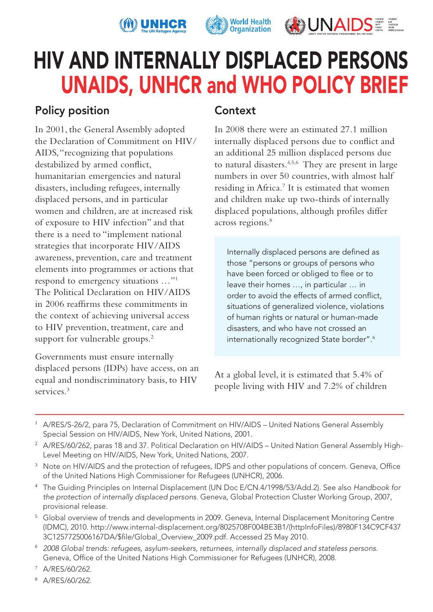





# HIV AND INTERNALLY DISPLACED PERSONS UNAIDS, UNHCR and WHO POLICY BRIEF

# Policy position

In 2001, the General Assembly adopted the Declaration of Commitment on HIV/ AIDS, "recognizing that populations destabilized by armed conflict, humanitarian emergencies and natural disasters, including refugees, internally displaced persons, and in particular women and children, are at increased risk of exposure to HIV infection" and that there is a need to "implement national strategies that incorporate HIV/AIDS awareness, prevention, care and treatment elements into programmes or actions that respond to emergency situations …"1 The Political Declaration on HIV/AIDS in 2006 reaffirms these commitments in the context of achieving universal access to HIV prevention, treatment, care and support for vulnerable groups.<sup>2</sup>

Governments must ensure internally displaced persons (IDPs) have access, on an equal and nondiscriminatory basis, to HIV services.<sup>3</sup>

## **Context**

In 2008 there were an estimated 27.1 million internally displaced persons due to conflict and an additional 25 million displaced persons due to natural disasters.<sup>4,5,6</sup> They are present in large numbers in over 50 countries, with almost half residing in Africa.7 It is estimated that women and children make up two-thirds of internally displaced populations, although profiles differ across regions.<sup>8</sup>

Internally displaced persons are defined as those "persons or groups of persons who have been forced or obliged to flee or to leave their homes …, in particular … in order to avoid the effects of armed conflict. situations of generalized violence, violations of human rights or natural or human-made disasters, and who have not crossed an internationally recognized State border".<sup>6</sup>

At a global level, it is estimated that 5.4% of people living with HIV and 7.2% of children

- 1 A/RES/S-26/2, para 75, Declaration of Commitment on HIV/AIDS – United Nations General Assembly Special Session on HIV/AIDS, New York, United Nations, 2001.
- 2 A/RES/60/262, paras 18 and 37. Political Declaration on HIV/AIDS United Nation General Assembly High-Level Meeting on HIV/AIDS, New York, United Nations, 2007.
- $3$  Note on HIV/AIDS and the protection of refugees, IDPS and other populations of concern. Geneva, Office of the United Nations High Commissioner for Refugees (UNHCR), 2006.
- 4 The Guiding Principles on Internal Displacement (UN Doc E/CN.4/1998/53/Add.2). See also *Handbook for the protection of internally displaced persons*. Geneva, Global Protection Cluster Working Group, 2007, provisional release.
- <sup>5</sup> Global overview of trends and developments in 2009. Geneva, Internal Displacement Monitoring Centre (IDMC), 2010. http://www.internal-displacement.org/8025708F004BE3B1/(httpInfoFiles)/8980F134C9CF437 3C1257725006167DA/\$file/Global\_Overview\_2009.pdf. Accessed 25 May 2010.
- <sup>6</sup> *2008 Global trends: refugees, asylum-seekers, returnees, internally displaced and stateless persons.* Geneva, Office of the United Nations High Commissioner for Refugees (UNHCR), 2008.
- 7 A/RES/60/262.
- 8 A/RES/60/262.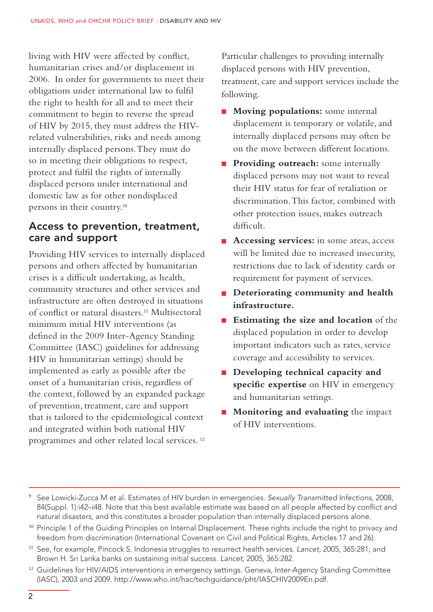living with HIV were affected by conflict, humanitarian crises and/or displacement in 2006. In order for governments to meet their obligations under international law to fulfil the right to health for all and to meet their commitment to begin to reverse the spread of HIV by 2015, they must address the HIVrelated vulnerabilities, risks and needs among internally displaced persons. They must do so in meeting their obligations to respect, protect and fulfil the rights of internally displaced persons under international and domestic law as for other nondisplaced persons in their country.<sup>10</sup>

#### Access to prevention, treatment, care and support

Providing HIV services to internally displaced persons and others affected by humanitarian crises is a difficult undertaking, as health, community structures and other services and infrastructure are often destroyed in situations of conflict or natural disasters.<sup>11</sup> Multisectoral minimum initial HIV interventions (as defined in the 2009 Inter-Agency Standing Committee (IASC) guidelines for addressing HIV in humanitarian settings) should be implemented as early as possible after the onset of a humanitarian crisis, regardless of the context, followed by an expanded package of prevention, treatment, care and support that is tailored to the epidemiological context and integrated within both national HIV programmes and other related local services. <sup>12</sup>

Particular challenges to providing internally displaced persons with HIV prevention, treatment, care and support services include the following.

- **Moving populations:** some internal displacement is temporary or volatile, and internally displaced persons may often be on the move between different locations.
- **Providing outreach:** some internally displaced persons may not want to reveal their HIV status for fear of retaliation or discrimination. This factor, combined with other protection issues, makes outreach difficult.
- **Accessing services:** in some areas, access will be limited due to increased insecurity, restrictions due to lack of identity cards or requirement for payment of services.
- **Deteriorating community and health infrastructure.**
- **Estimating the size and location** of the displaced population in order to develop important indicators such as rates, service coverage and accessibility to services.
- **Developing technical capacity and** specific expertise on HIV in emergency and humanitarian settings.
- **Monitoring and evaluating** the impact of HIV interventions.

<sup>9</sup> See Lowicki-Zucca M et al. Estimates of HIV burden in emergencies. *Sexually Transmitted Infections*, 2008, 84(Suppl. 1):i42–i48. Note that this best available estimate was based on all people affected by conflict and natural disasters, and this constitutes a broader population than internally displaced persons alone.

<sup>&</sup>lt;sup>10</sup> Principle 1 of the Guiding Principles on Internal Displacement. These rights include the right to privacy and freedom from discrimination (International Covenant on Civil and Political Rights, Articles 17 and 26).

<sup>11</sup> See, for example, Pincock S. Indonesia struggles to resurrect health services. *Lancet*, 2005, 365:281; and Brown H. Sri Lanka banks on sustaining initial success. *Lancet*, 2005, 365:282.

<sup>&</sup>lt;sup>12</sup> Guidelines for HIV/AIDS interventions in emergency settings. Geneva, Inter-Agency Standing Committee (IASC), 2003 and 2009. http://www.who.int/hac/techguidance/pht/IASCHIV2009En.pdf.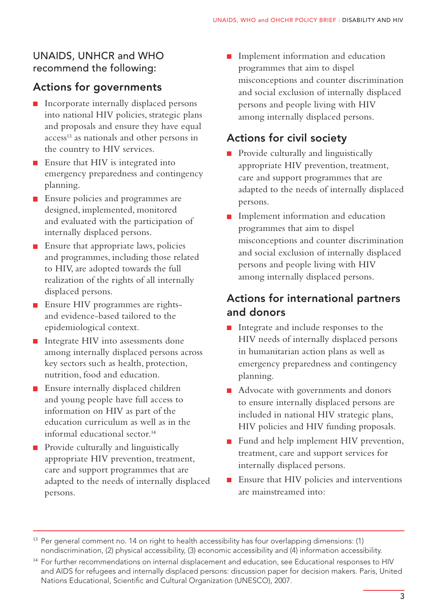#### UNAIDS, UNHCR and WHO recommend the following:

## Actions for governments

- **Incorporate internally displaced persons** into national HIV policies, strategic plans and proposals and ensure they have equal access<sup>13</sup> as nationals and other persons in the country to HIV services.
- **E** Ensure that HIV is integrated into emergency preparedness and contingency planning.
- **Ensure policies and programmes are** designed, implemented, monitored and evaluated with the participation of internally displaced persons.
- **Ensure that appropriate laws, policies** and programmes, including those related to HIV, are adopted towards the full realization of the rights of all internally displaced persons.
- **Ensure HIV programmes are rights**and evidence-based tailored to the epidemiological context.
- Integrate HIV into assessments done among internally displaced persons across key sectors such as health, protection, nutrition, food and education.
- **Ensure internally displaced children** and young people have full access to information on HIV as part of the education curriculum as well as in the informal educational sector.<sup>14</sup>
- **Provide culturally and linguistically** appropriate HIV prevention, treatment, care and support programmes that are adapted to the needs of internally displaced persons.

**Implement information and education** programmes that aim to dispel misconceptions and counter discrimination and social exclusion of internally displaced persons and people living with HIV among internally displaced persons.

# Actions for civil society

- **Provide culturally and linguistically** appropriate HIV prevention, treatment, care and support programmes that are adapted to the needs of internally displaced persons.
- **Implement information and education** programmes that aim to dispel misconceptions and counter discrimination and social exclusion of internally displaced persons and people living with HIV among internally displaced persons.

## Actions for international partners and donors

- Integrate and include responses to the HIV needs of internally displaced persons in humanitarian action plans as well as emergency preparedness and contingency planning.
- Advocate with governments and donors to ensure internally displaced persons are included in national HIV strategic plans, HIV policies and HIV funding proposals.
- **Fund and help implement HIV prevention,** treatment, care and support services for internally displaced persons.
- $\blacksquare$  Ensure that HIV policies and interventions are mainstreamed into:

<sup>&</sup>lt;sup>13</sup> Per general comment no. 14 on right to health accessibility has four overlapping dimensions: (1) nondiscrimination, (2) physical accessibility, (3) economic accessibility and (4) information accessibility.

<sup>&</sup>lt;sup>14</sup> For further recommendations on internal displacement and education, see Educational responses to HIV and AIDS for refugees and internally displaced persons: discussion paper for decision makers. Paris, United Nations Educational, Scientific and Cultural Organization (UNESCO), 2007.